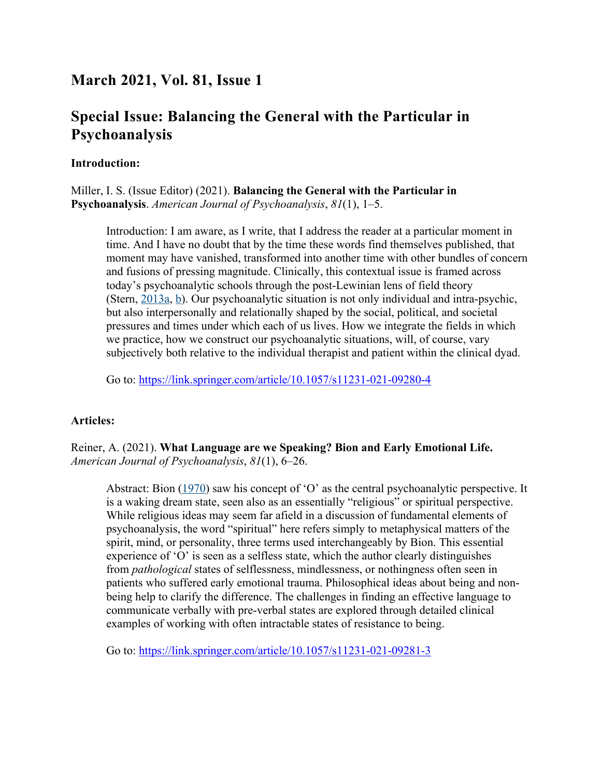# **March 2021, Vol. 81, Issue 1**

# **Special Issue: Balancing the General with the Particular in Psychoanalysis**

#### **Introduction:**

Miller, I. S. (Issue Editor) (2021). **Balancing the General with the Particular in Psychoanalysis**. *American Journal of Psychoanalysis*, *81*(1), 1–5.

Introduction: I am aware, as I write, that I address the reader at a particular moment in time. And I have no doubt that by the time these words find themselves published, that moment may have vanished, transformed into another time with other bundles of concern and fusions of pressing magnitude. Clinically, this contextual issue is framed across today's psychoanalytic schools through the post-Lewinian lens of field theory (Stern, 2013a, b). Our psychoanalytic situation is not only individual and intra-psychic, but also interpersonally and relationally shaped by the social, political, and societal pressures and times under which each of us lives. How we integrate the fields in which we practice, how we construct our psychoanalytic situations, will, of course, vary subjectively both relative to the individual therapist and patient within the clinical dyad.

Go to: https://link.springer.com/article/10.1057/s11231-021-09280-4

## **Articles:**

Reiner, A. (2021). **What Language are we Speaking? Bion and Early Emotional Life.** *American Journal of Psychoanalysis*, *81*(1), 6–26.

Abstract: Bion (1970) saw his concept of 'O' as the central psychoanalytic perspective. It is a waking dream state, seen also as an essentially "religious" or spiritual perspective. While religious ideas may seem far afield in a discussion of fundamental elements of psychoanalysis, the word "spiritual" here refers simply to metaphysical matters of the spirit, mind, or personality, three terms used interchangeably by Bion. This essential experience of 'O' is seen as a selfless state, which the author clearly distinguishes from *pathological* states of selflessness, mindlessness, or nothingness often seen in patients who suffered early emotional trauma. Philosophical ideas about being and nonbeing help to clarify the difference. The challenges in finding an effective language to communicate verbally with pre-verbal states are explored through detailed clinical examples of working with often intractable states of resistance to being.

Go to: https://link.springer.com/article/10.1057/s11231-021-09281-3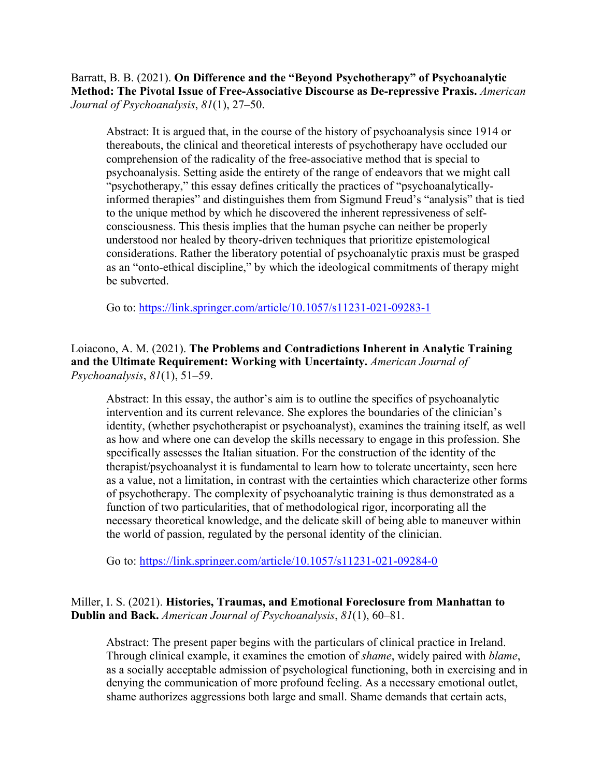### Barratt, B. B. (2021). **On Difference and the "Beyond Psychotherapy" of Psychoanalytic Method: The Pivotal Issue of Free-Associative Discourse as De-repressive Praxis.** *American Journal of Psychoanalysis*, *81*(1), 27–50.

Abstract: It is argued that, in the course of the history of psychoanalysis since 1914 or thereabouts, the clinical and theoretical interests of psychotherapy have occluded our comprehension of the radicality of the free-associative method that is special to psychoanalysis. Setting aside the entirety of the range of endeavors that we might call "psychotherapy," this essay defines critically the practices of "psychoanalyticallyinformed therapies" and distinguishes them from Sigmund Freud's "analysis" that is tied to the unique method by which he discovered the inherent repressiveness of selfconsciousness. This thesis implies that the human psyche can neither be properly understood nor healed by theory-driven techniques that prioritize epistemological considerations. Rather the liberatory potential of psychoanalytic praxis must be grasped as an "onto-ethical discipline," by which the ideological commitments of therapy might be subverted.

Go to: https://link.springer.com/article/10.1057/s11231-021-09283-1

Loiacono, A. M. (2021). **The Problems and Contradictions Inherent in Analytic Training and the Ultimate Requirement: Working with Uncertainty.** *American Journal of Psychoanalysis*, *81*(1), 51–59.

Abstract: In this essay, the author's aim is to outline the specifics of psychoanalytic intervention and its current relevance. She explores the boundaries of the clinician's identity, (whether psychotherapist or psychoanalyst), examines the training itself, as well as how and where one can develop the skills necessary to engage in this profession. She specifically assesses the Italian situation. For the construction of the identity of the therapist/psychoanalyst it is fundamental to learn how to tolerate uncertainty, seen here as a value, not a limitation, in contrast with the certainties which characterize other forms of psychotherapy. The complexity of psychoanalytic training is thus demonstrated as a function of two particularities, that of methodological rigor, incorporating all the necessary theoretical knowledge, and the delicate skill of being able to maneuver within the world of passion, regulated by the personal identity of the clinician.

Go to: https://link.springer.com/article/10.1057/s11231-021-09284-0

## Miller, I. S. (2021). **Histories, Traumas, and Emotional Foreclosure from Manhattan to Dublin and Back.** *American Journal of Psychoanalysis*, *81*(1), 60–81.

Abstract: The present paper begins with the particulars of clinical practice in Ireland. Through clinical example, it examines the emotion of *shame*, widely paired with *blame*, as a socially acceptable admission of psychological functioning, both in exercising and in denying the communication of more profound feeling. As a necessary emotional outlet, shame authorizes aggressions both large and small. Shame demands that certain acts,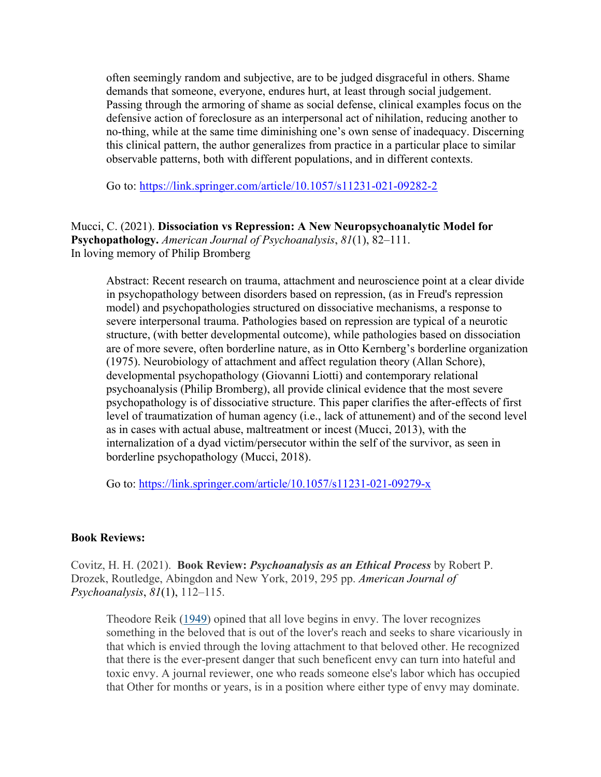often seemingly random and subjective, are to be judged disgraceful in others. Shame demands that someone, everyone, endures hurt, at least through social judgement. Passing through the armoring of shame as social defense, clinical examples focus on the defensive action of foreclosure as an interpersonal act of nihilation, reducing another to no-thing, while at the same time diminishing one's own sense of inadequacy. Discerning this clinical pattern, the author generalizes from practice in a particular place to similar observable patterns, both with different populations, and in different contexts.

Go to: https://link.springer.com/article/10.1057/s11231-021-09282-2

Mucci, C. (2021). **Dissociation vs Repression: A New Neuropsychoanalytic Model for Psychopathology.** *American Journal of Psychoanalysis*, *81*(1), 82–111. In loving memory of Philip Bromberg

Abstract: Recent research on trauma, attachment and neuroscience point at a clear divide in psychopathology between disorders based on repression, (as in Freud's repression model) and psychopathologies structured on dissociative mechanisms, a response to severe interpersonal trauma. Pathologies based on repression are typical of a neurotic structure, (with better developmental outcome), while pathologies based on dissociation are of more severe, often borderline nature, as in Otto Kernberg's borderline organization (1975). Neurobiology of attachment and affect regulation theory (Allan Schore), developmental psychopathology (Giovanni Liotti) and contemporary relational psychoanalysis (Philip Bromberg), all provide clinical evidence that the most severe psychopathology is of dissociative structure. This paper clarifies the after-effects of first level of traumatization of human agency (i.e., lack of attunement) and of the second level as in cases with actual abuse, maltreatment or incest (Mucci, 2013), with the internalization of a dyad victim/persecutor within the self of the survivor, as seen in borderline psychopathology (Mucci, 2018).

Go to: https://link.springer.com/article/10.1057/s11231-021-09279-x

#### **Book Reviews:**

Covitz, H. H. (2021). **Book Review:** *Psychoanalysis as an Ethical Process* by Robert P. Drozek, Routledge, Abingdon and New York, 2019, 295 pp. *American Journal of Psychoanalysis*, *81*(1), 112–115.

Theodore Reik (1949) opined that all love begins in envy. The lover recognizes something in the beloved that is out of the lover's reach and seeks to share vicariously in that which is envied through the loving attachment to that beloved other. He recognized that there is the ever-present danger that such beneficent envy can turn into hateful and toxic envy. A journal reviewer, one who reads someone else's labor which has occupied that Other for months or years, is in a position where either type of envy may dominate.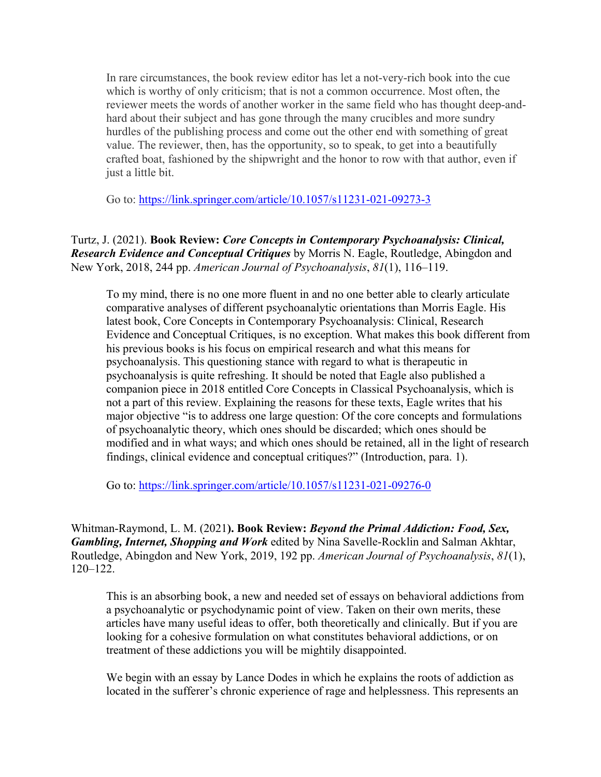In rare circumstances, the book review editor has let a not-very-rich book into the cue which is worthy of only criticism; that is not a common occurrence. Most often, the reviewer meets the words of another worker in the same field who has thought deep-andhard about their subject and has gone through the many crucibles and more sundry hurdles of the publishing process and come out the other end with something of great value. The reviewer, then, has the opportunity, so to speak, to get into a beautifully crafted boat, fashioned by the shipwright and the honor to row with that author, even if just a little bit.

Go to: https://link.springer.com/article/10.1057/s11231-021-09273-3

### Turtz, J. (2021). **Book Review:** *Core Concepts in Contemporary Psychoanalysis: Clinical, Research Evidence and Conceptual Critiques* by Morris N. Eagle, Routledge, Abingdon and New York, 2018, 244 pp. *American Journal of Psychoanalysis*, *81*(1), 116–119.

To my mind, there is no one more fluent in and no one better able to clearly articulate comparative analyses of different psychoanalytic orientations than Morris Eagle. His latest book, Core Concepts in Contemporary Psychoanalysis: Clinical, Research Evidence and Conceptual Critiques, is no exception. What makes this book different from his previous books is his focus on empirical research and what this means for psychoanalysis. This questioning stance with regard to what is therapeutic in psychoanalysis is quite refreshing. It should be noted that Eagle also published a companion piece in 2018 entitled Core Concepts in Classical Psychoanalysis, which is not a part of this review. Explaining the reasons for these texts, Eagle writes that his major objective "is to address one large question: Of the core concepts and formulations of psychoanalytic theory, which ones should be discarded; which ones should be modified and in what ways; and which ones should be retained, all in the light of research findings, clinical evidence and conceptual critiques?" (Introduction, para. 1).

Go to: https://link.springer.com/article/10.1057/s11231-021-09276-0

Whitman-Raymond, L. M. (2021**). Book Review:** *Beyond the Primal Addiction: Food, Sex, Gambling, Internet, Shopping and Work* edited by Nina Savelle-Rocklin and Salman Akhtar, Routledge, Abingdon and New York, 2019, 192 pp. *American Journal of Psychoanalysis*, *81*(1), 120–122.

This is an absorbing book, a new and needed set of essays on behavioral addictions from a psychoanalytic or psychodynamic point of view. Taken on their own merits, these articles have many useful ideas to offer, both theoretically and clinically. But if you are looking for a cohesive formulation on what constitutes behavioral addictions, or on treatment of these addictions you will be mightily disappointed.

We begin with an essay by Lance Dodes in which he explains the roots of addiction as located in the sufferer's chronic experience of rage and helplessness. This represents an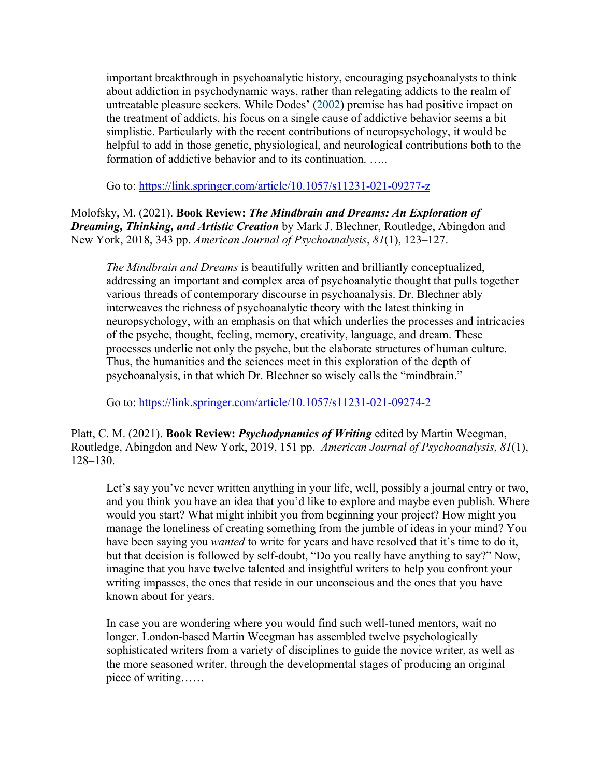important breakthrough in psychoanalytic history, encouraging psychoanalysts to think about addiction in psychodynamic ways, rather than relegating addicts to the realm of untreatable pleasure seekers. While Dodes' (2002) premise has had positive impact on the treatment of addicts, his focus on a single cause of addictive behavior seems a bit simplistic. Particularly with the recent contributions of neuropsychology, it would be helpful to add in those genetic, physiological, and neurological contributions both to the formation of addictive behavior and to its continuation. …..

Go to: https://link.springer.com/article/10.1057/s11231-021-09277-z

Molofsky, M. (2021). **Book Review:** *The Mindbrain and Dreams: An Exploration of Dreaming, Thinking, and Artistic Creation* by Mark J. Blechner, Routledge, Abingdon and New York, 2018, 343 pp. *American Journal of Psychoanalysis*, *81*(1), 123–127.

*The Mindbrain and Dreams* is beautifully written and brilliantly conceptualized, addressing an important and complex area of psychoanalytic thought that pulls together various threads of contemporary discourse in psychoanalysis. Dr. Blechner ably interweaves the richness of psychoanalytic theory with the latest thinking in neuropsychology, with an emphasis on that which underlies the processes and intricacies of the psyche, thought, feeling, memory, creativity, language, and dream. These processes underlie not only the psyche, but the elaborate structures of human culture. Thus, the humanities and the sciences meet in this exploration of the depth of psychoanalysis, in that which Dr. Blechner so wisely calls the "mindbrain."

Go to: https://link.springer.com/article/10.1057/s11231-021-09274-2

Platt, C. M. (2021). **Book Review:** *Psychodynamics of Writing* edited by Martin Weegman, Routledge, Abingdon and New York, 2019, 151 pp. *American Journal of Psychoanalysis*, *81*(1), 128–130.

Let's say you've never written anything in your life, well, possibly a journal entry or two, and you think you have an idea that you'd like to explore and maybe even publish. Where would you start? What might inhibit you from beginning your project? How might you manage the loneliness of creating something from the jumble of ideas in your mind? You have been saying you *wanted* to write for years and have resolved that it's time to do it, but that decision is followed by self-doubt, "Do you really have anything to say?" Now, imagine that you have twelve talented and insightful writers to help you confront your writing impasses, the ones that reside in our unconscious and the ones that you have known about for years.

In case you are wondering where you would find such well-tuned mentors, wait no longer. London-based Martin Weegman has assembled twelve psychologically sophisticated writers from a variety of disciplines to guide the novice writer, as well as the more seasoned writer, through the developmental stages of producing an original piece of writing……